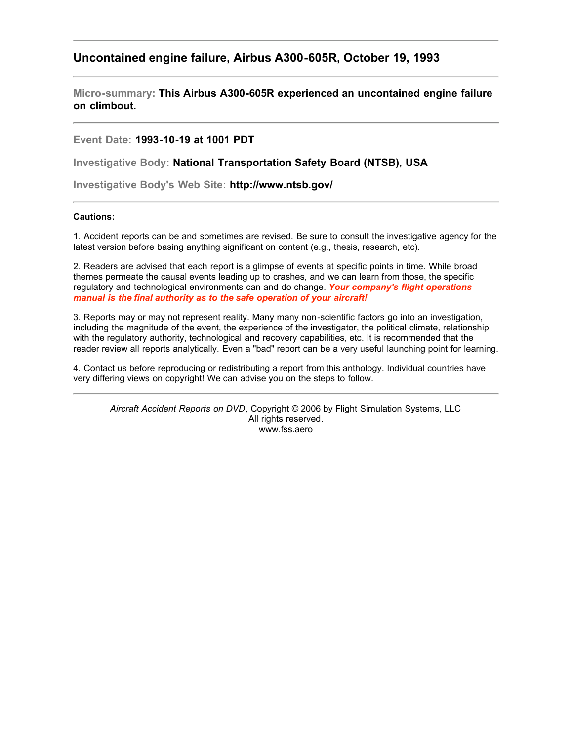# **Uncontained engine failure, Airbus A300-605R, October 19, 1993**

**Micro-summary: This Airbus A300-605R experienced an uncontained engine failure on climbout.**

## **Event Date: 1993-10-19 at 1001 PDT**

**Investigative Body: National Transportation Safety Board (NTSB), USA**

**Investigative Body's Web Site: http://www.ntsb.gov/**

### **Cautions:**

1. Accident reports can be and sometimes are revised. Be sure to consult the investigative agency for the latest version before basing anything significant on content (e.g., thesis, research, etc).

2. Readers are advised that each report is a glimpse of events at specific points in time. While broad themes permeate the causal events leading up to crashes, and we can learn from those, the specific regulatory and technological environments can and do change. *Your company's flight operations manual is the final authority as to the safe operation of your aircraft!*

3. Reports may or may not represent reality. Many many non-scientific factors go into an investigation, including the magnitude of the event, the experience of the investigator, the political climate, relationship with the regulatory authority, technological and recovery capabilities, etc. It is recommended that the reader review all reports analytically. Even a "bad" report can be a very useful launching point for learning.

4. Contact us before reproducing or redistributing a report from this anthology. Individual countries have very differing views on copyright! We can advise you on the steps to follow.

*Aircraft Accident Reports on DVD*, Copyright © 2006 by Flight Simulation Systems, LLC All rights reserved. www.fss.aero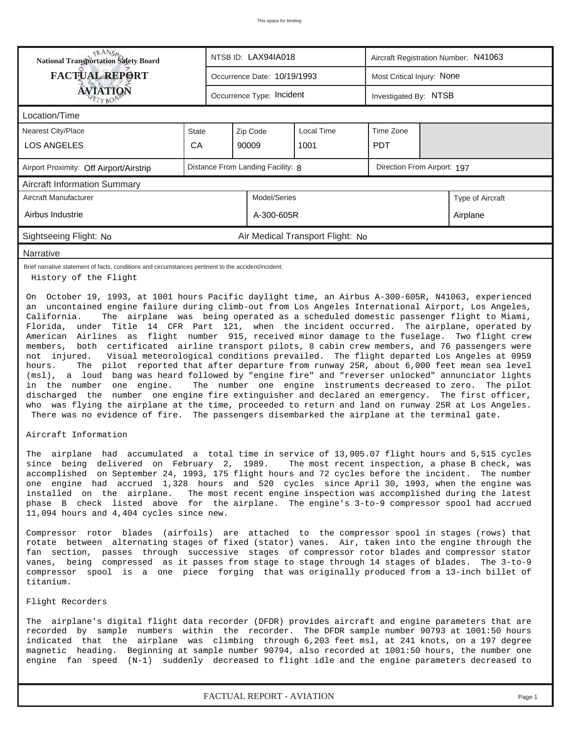| RANS <sub>P</sub> RANSP<br>National Transportation Safety Board<br>NTSB ID: LAX94IA018<br>Aircraft Registration Number: N41063                                                                                                                                                                                                                                                                                                                                                                                                                                                                                                                                                                                                                                                                                                                                                                                                                                                                                                 |              |  |                                   |                                  |                             |                            |                  |  |  |  |
|--------------------------------------------------------------------------------------------------------------------------------------------------------------------------------------------------------------------------------------------------------------------------------------------------------------------------------------------------------------------------------------------------------------------------------------------------------------------------------------------------------------------------------------------------------------------------------------------------------------------------------------------------------------------------------------------------------------------------------------------------------------------------------------------------------------------------------------------------------------------------------------------------------------------------------------------------------------------------------------------------------------------------------|--------------|--|-----------------------------------|----------------------------------|-----------------------------|----------------------------|------------------|--|--|--|
| <b>FACTUAL REPORT</b>                                                                                                                                                                                                                                                                                                                                                                                                                                                                                                                                                                                                                                                                                                                                                                                                                                                                                                                                                                                                          |              |  | Occurrence Date: 10/19/1993       |                                  |                             | Most Critical Injury: None |                  |  |  |  |
| <b>ÁVIATIQÑ</b><br>Occurrence Type: Incident<br>Investigated By: NTSB                                                                                                                                                                                                                                                                                                                                                                                                                                                                                                                                                                                                                                                                                                                                                                                                                                                                                                                                                          |              |  |                                   |                                  |                             |                            |                  |  |  |  |
| Location/Time                                                                                                                                                                                                                                                                                                                                                                                                                                                                                                                                                                                                                                                                                                                                                                                                                                                                                                                                                                                                                  |              |  |                                   |                                  |                             |                            |                  |  |  |  |
| <b>Nearest City/Place</b>                                                                                                                                                                                                                                                                                                                                                                                                                                                                                                                                                                                                                                                                                                                                                                                                                                                                                                                                                                                                      | <b>State</b> |  | Zip Code                          | Local Time                       | Time Zone                   |                            |                  |  |  |  |
| <b>LOS ANGELES</b>                                                                                                                                                                                                                                                                                                                                                                                                                                                                                                                                                                                                                                                                                                                                                                                                                                                                                                                                                                                                             | CA           |  | 90009                             | 1001                             | <b>PDT</b>                  |                            |                  |  |  |  |
| Airport Proximity: Off Airport/Airstrip                                                                                                                                                                                                                                                                                                                                                                                                                                                                                                                                                                                                                                                                                                                                                                                                                                                                                                                                                                                        |              |  | Distance From Landing Facility: 8 |                                  | Direction From Airport: 197 |                            |                  |  |  |  |
| <b>Aircraft Information Summary</b>                                                                                                                                                                                                                                                                                                                                                                                                                                                                                                                                                                                                                                                                                                                                                                                                                                                                                                                                                                                            |              |  |                                   |                                  |                             |                            |                  |  |  |  |
| Aircraft Manufacturer                                                                                                                                                                                                                                                                                                                                                                                                                                                                                                                                                                                                                                                                                                                                                                                                                                                                                                                                                                                                          |              |  | Model/Series                      |                                  |                             |                            | Type of Aircraft |  |  |  |
| Airbus Industrie                                                                                                                                                                                                                                                                                                                                                                                                                                                                                                                                                                                                                                                                                                                                                                                                                                                                                                                                                                                                               |              |  | A-300-605R                        |                                  |                             |                            | Airplane         |  |  |  |
| Sightseeing Flight: No                                                                                                                                                                                                                                                                                                                                                                                                                                                                                                                                                                                                                                                                                                                                                                                                                                                                                                                                                                                                         |              |  |                                   | Air Medical Transport Flight: No |                             |                            |                  |  |  |  |
| Narrative                                                                                                                                                                                                                                                                                                                                                                                                                                                                                                                                                                                                                                                                                                                                                                                                                                                                                                                                                                                                                      |              |  |                                   |                                  |                             |                            |                  |  |  |  |
| Brief narrative statement of facts, conditions and circumstances pertinent to the accident/incident:<br>History of the Flight                                                                                                                                                                                                                                                                                                                                                                                                                                                                                                                                                                                                                                                                                                                                                                                                                                                                                                  |              |  |                                   |                                  |                             |                            |                  |  |  |  |
| Florida, under Title 14 CFR Part 121, when the incident occurred. The airplane, operated by<br>American Airlines as flight number 915, received minor damage to the fuselage. Two flight crew<br>members, both certificated airline transport pilots, 8 cabin crew members, and 76 passengers were<br>Visual meteorological conditions prevailed. The flight departed Los Angeles at 0959<br>not injured.<br>The pilot reported that after departure from runway 25R, about 6,000 feet mean sea level<br>hours.<br>(msl), a loud bang was heard followed by "engine fire" and "reverser unlocked" annunciator lights<br>in the number one engine.<br>The number one engine instruments decreased to zero. The pilot<br>discharged the number one engine fire extinguisher and declared an emergency. The first officer,<br>who was flying the airplane at the time, proceeded to return and land on runway 25R at Los Angeles.<br>There was no evidence of fire. The passengers disembarked the airplane at the terminal gate. |              |  |                                   |                                  |                             |                            |                  |  |  |  |
| Aircraft Information                                                                                                                                                                                                                                                                                                                                                                                                                                                                                                                                                                                                                                                                                                                                                                                                                                                                                                                                                                                                           |              |  |                                   |                                  |                             |                            |                  |  |  |  |
| The airplane had accumulated a total time in service of 13,905.07 flight hours and 5,515 cycles<br>since being delivered on February 2, 1989. The most recent inspection, a phase B check, was<br>accomplished on September 24, 1993, 175 flight hours and 72 cycles before the incident. The number<br>one engine had accrued 1,328 hours and 520 cycles since April 30, 1993, when the engine was<br>The most recent engine inspection was accomplished during the latest<br>installed on the airplane.<br>phase B check listed above for the airplane. The engine's 3-to-9 compressor spool had accrued<br>11,094 hours and 4,404 cycles since new.                                                                                                                                                                                                                                                                                                                                                                         |              |  |                                   |                                  |                             |                            |                  |  |  |  |
| Compressor rotor blades (airfoils) are attached to the compressor spool in stages (rows) that<br>rotate between alternating stages of fixed (stator) vanes. Air, taken into the engine through the<br>fan section, passes through successive stages of compressor rotor blades and compressor stator<br>vanes, being compressed as it passes from stage to stage through 14 stages of blades. The 3-to-9<br>compressor spool is a one piece forging that was originally produced from a 13-inch billet of<br>titanium.                                                                                                                                                                                                                                                                                                                                                                                                                                                                                                         |              |  |                                   |                                  |                             |                            |                  |  |  |  |
| Flight Recorders                                                                                                                                                                                                                                                                                                                                                                                                                                                                                                                                                                                                                                                                                                                                                                                                                                                                                                                                                                                                               |              |  |                                   |                                  |                             |                            |                  |  |  |  |
| The airplane's digital flight data recorder (DFDR) provides aircraft and engine parameters that are<br>recorded by sample numbers within the recorder. The DFDR sample number 90793 at 1001:50 hours<br>indicated that the airplane was climbing through 6,203 feet msl, at 241 knots, on a 197 degree<br>magnetic heading. Beginning at sample number 90794, also recorded at 1001:50 hours, the number one<br>engine fan speed (N-1) suddenly decreased to flight idle and the engine parameters decreased to                                                                                                                                                                                                                                                                                                                                                                                                                                                                                                                |              |  |                                   |                                  |                             |                            |                  |  |  |  |

*FACTUAL REPORT - AVIATION Page 1*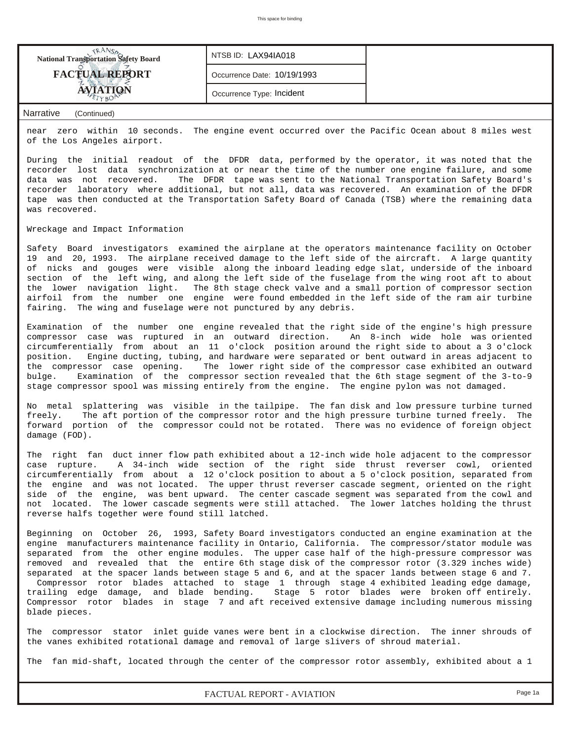| <b>National Transportation Safety Board</b> | NTSB ID: LAX94IA018         |  |
|---------------------------------------------|-----------------------------|--|
| <b>FACTUAL REPORT</b>                       | Occurrence Date: 10/19/1993 |  |
|                                             | Occurrence Type: Incident   |  |
|                                             |                             |  |

#### *Narrative (Continued)*

near zero within 10 seconds. The engine event occurred over the Pacific Ocean about 8 miles west of the Los Angeles airport.

During the initial readout of the DFDR data, performed by the operator, it was noted that the recorder lost data synchronization at or near the time of the number one engine failure, and some data was not recovered. The DFDR tape was sent to the National Transportation Safety Board's recorder laboratory where additional, but not all, data was recovered. An examination of the DFDR tape was then conducted at the Transportation Safety Board of Canada (TSB) where the remaining data was recovered.

#### Wreckage and Impact Information

Safety Board investigators examined the airplane at the operators maintenance facility on October 19 and 20, 1993. The airplane received damage to the left side of the aircraft. A large quantity of nicks and gouges were visible along the inboard leading edge slat, underside of the inboard section of the left wing, and along the left side of the fuselage from the wing root aft to about the lower navigation light. The 8th stage check valve and a small portion of compressor section airfoil from the number one engine were found embedded in the left side of the ram air turbine fairing. The wing and fuselage were not punctured by any debris.

Examination of the number one engine revealed that the right side of the engine's high pressure compressor case was ruptured in an outward direction. An 8-inch wide hole was oriented circumferentially from about an 11 o'clock position around the right side to about a 3 o'clock position. Engine ducting, tubing, and hardware were separated or bent outward in areas adjacent to the compressor case opening. The lower right side of the compressor case exhibited an outward bulge. Examination of the compressor section revealed that the 6th stage segment of the 3-to-9 stage compressor spool was missing entirely from the engine. The engine pylon was not damaged.

No metal splattering was visible in the tailpipe. The fan disk and low pressure turbine turned freely. The aft portion of the compressor rotor and the high pressure turbine turned freely. The forward portion of the compressor could not be rotated. There was no evidence of foreign object damage (FOD).

The right fan duct inner flow path exhibited about a 12-inch wide hole adjacent to the compressor case rupture. A 34-inch wide section of the right side thrust reverser cowl, oriented circumferentially from about a 12 o'clock position to about a 5 o'clock position, separated from the engine and was not located. The upper thrust reverser cascade segment, oriented on the right side of the engine, was bent upward. The center cascade segment was separated from the cowl and not located. The lower cascade segments were still attached. The lower latches holding the thrust reverse halfs together were found still latched.

Beginning on October 26, 1993, Safety Board investigators conducted an engine examination at the engine manufacturers maintenance facility in Ontario, California. The compressor/stator module was separated from the other engine modules. The upper case half of the high-pressure compressor was removed and revealed that the entire 6th stage disk of the compressor rotor (3.329 inches wide) separated at the spacer lands between stage 5 and 6, and at the spacer lands between stage 6 and 7. Compressor rotor blades attached to stage 1 through stage 4 exhibited leading edge damage, trailing edge damage, and blade bending. Stage 5 rotor blades were broken off entirely. Compressor rotor blades in stage 7 and aft received extensive damage including numerous missing blade pieces.

The compressor stator inlet guide vanes were bent in a clockwise direction. The inner shrouds of the vanes exhibited rotational damage and removal of large slivers of shroud material.

The fan mid-shaft, located through the center of the compressor rotor assembly, exhibited about a 1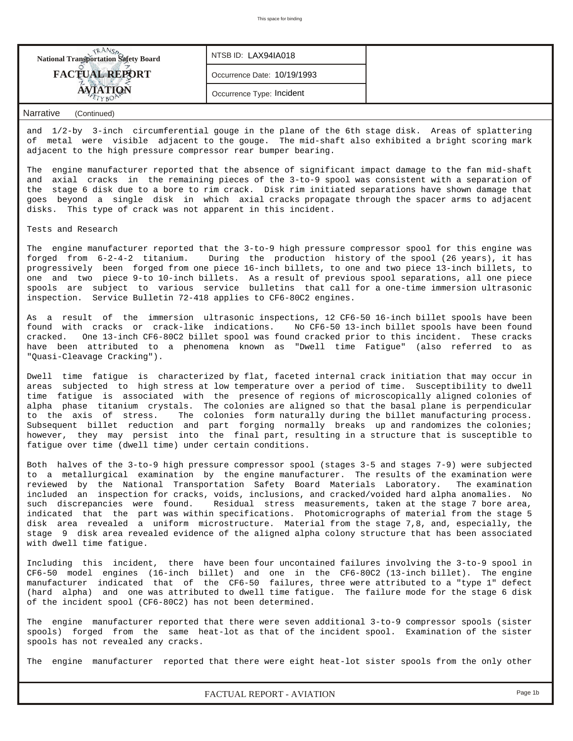| <b>National Transportation Safety Board</b> | NTSB ID: LAX94IA018         |  |
|---------------------------------------------|-----------------------------|--|
| <b>FACTUAL REPORT</b>                       | Occurrence Date: 10/19/1993 |  |
|                                             | Occurrence Type: Incident   |  |

#### *Narrative (Continued)*

and 1/2-by 3-inch circumferential gouge in the plane of the 6th stage disk. Areas of splattering of metal were visible adjacent to the gouge. The mid-shaft also exhibited a bright scoring mark adjacent to the high pressure compressor rear bumper bearing.

The engine manufacturer reported that the absence of significant impact damage to the fan mid-shaft and axial cracks in the remaining pieces of the 3-to-9 spool was consistent with a separation of the stage 6 disk due to a bore to rim crack. Disk rim initiated separations have shown damage that goes beyond a single disk in which axial cracks propagate through the spacer arms to adjacent disks. This type of crack was not apparent in this incident.

Tests and Research

The engine manufacturer reported that the 3-to-9 high pressure compressor spool for this engine was forged from 6-2-4-2 titanium. During the production history of the spool (26 years), it has progressively been forged from one piece 16-inch billets, to one and two piece 13-inch billets, to one and two piece 9-to 10-inch billets. As a result of previous spool separations, all one piece spools are subject to various service bulletins that call for a one-time immersion ultrasonic inspection. Service Bulletin 72-418 applies to CF6-80C2 engines.

As a result of the immersion ultrasonic inspections, 12 CF6-50 16-inch billet spools have been found with cracks or crack-like indications. No CF6-50 13-inch billet spools have been found cracked. One 13-inch CF6-80C2 billet spool was found cracked prior to this incident. These cracks have been attributed to a phenomena known as "Dwell time Fatigue" (also referred to as "Quasi-Cleavage Cracking").

Dwell time fatigue is characterized by flat, faceted internal crack initiation that may occur in areas subjected to high stress at low temperature over a period of time. Susceptibility to dwell time fatigue is associated with the presence of regions of microscopically aligned colonies of alpha phase titanium crystals. The colonies are aligned so that the basal plane is perpendicular to the axis of stress. The colonies form naturally during the billet manufacturing process. Subsequent billet reduction and part forging normally breaks up and randomizes the colonies; however, they may persist into the final part, resulting in a structure that is susceptible to fatigue over time (dwell time) under certain conditions.

Both halves of the 3-to-9 high pressure compressor spool (stages 3-5 and stages 7-9) were subjected to a metallurgical examination by the engine manufacturer. The results of the examination were reviewed by the National Transportation Safety Board Materials Laboratory. The examination included an inspection for cracks, voids, inclusions, and cracked/voided hard alpha anomalies. No such discrepancies were found. Residual stress measurements, taken at the stage 7 bore area, indicated that the part was within specifications. Photomicrographs of material from the stage 5 disk area revealed a uniform microstructure. Material from the stage 7,8, and, especially, the stage 9 disk area revealed evidence of the aligned alpha colony structure that has been associated with dwell time fatigue.

Including this incident, there have been four uncontained failures involving the 3-to-9 spool in CF6-50 model engines (16-inch billet) and one in the CF6-80C2 (13-inch billet). The engine manufacturer indicated that of the CF6-50 failures, three were attributed to a "type 1" defect (hard alpha) and one was attributed to dwell time fatigue. The failure mode for the stage 6 disk of the incident spool (CF6-80C2) has not been determined.

The engine manufacturer reported that there were seven additional 3-to-9 compressor spools (sister spools) forged from the same heat-lot as that of the incident spool. Examination of the sister spools has not revealed any cracks.

The engine manufacturer reported that there were eight heat-lot sister spools from the only other

*FACTUAL REPORT - AVIATION Page 1b*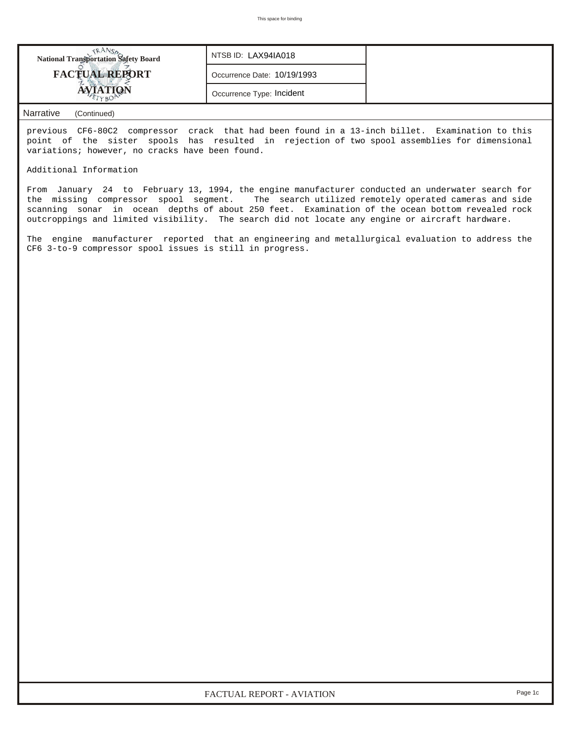| <b>National Transportation Safety Board</b> | NTSB ID: LAX94IA018         |  |
|---------------------------------------------|-----------------------------|--|
| <b>FACTUAL REPORT</b>                       | Occurrence Date: 10/19/1993 |  |
|                                             | Occurrence Type: Incident   |  |

### *Narrative (Continued)*

previous CF6-80C2 compressor crack that had been found in a 13-inch billet. Examination to this point of the sister spools has resulted in rejection of two spool assemblies for dimensional variations; however, no cracks have been found.

Additional Information

From January 24 to February 13, 1994, the engine manufacturer conducted an underwater search for the missing compressor spool segment. The search utilized remotely operated cameras and side scanning sonar in ocean depths of about 250 feet. Examination of the ocean bottom revealed rock outcroppings and limited visibility. The search did not locate any engine or aircraft hardware.

The engine manufacturer reported that an engineering and metallurgical evaluation to address the CF6 3-to-9 compressor spool issues is still in progress.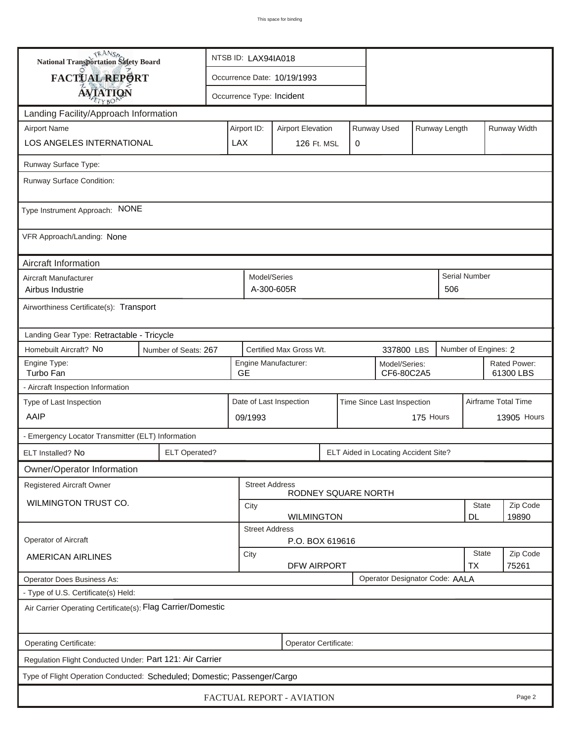| TRANSA<br>National Transportation Safety Board                           | NTSB ID: LAX94IA018                                              |                                                       |                             |                          |  |                                      |                     |                   |                           |              |
|--------------------------------------------------------------------------|------------------------------------------------------------------|-------------------------------------------------------|-----------------------------|--------------------------|--|--------------------------------------|---------------------|-------------------|---------------------------|--------------|
| FACTUAL REPORT                                                           |                                                                  |                                                       | Occurrence Date: 10/19/1993 |                          |  |                                      |                     |                   |                           |              |
| <b>AVIATION</b>                                                          |                                                                  |                                                       | Occurrence Type: Incident   |                          |  |                                      |                     |                   |                           |              |
| Landing Facility/Approach Information                                    |                                                                  |                                                       |                             |                          |  |                                      |                     |                   |                           |              |
| <b>Airport Name</b>                                                      |                                                                  | Airport ID:                                           |                             | <b>Airport Elevation</b> |  | Runway Used                          |                     | Runway Length     |                           | Runway Width |
| <b>LOS ANGELES INTERNATIONAL</b>                                         |                                                                  | LAX                                                   | 126 Ft. MSL<br>0            |                          |  |                                      |                     |                   |                           |              |
| Runway Surface Type:                                                     |                                                                  |                                                       |                             |                          |  |                                      |                     |                   |                           |              |
| Runway Surface Condition:                                                |                                                                  |                                                       |                             |                          |  |                                      |                     |                   |                           |              |
| Type Instrument Approach: NONE                                           |                                                                  |                                                       |                             |                          |  |                                      |                     |                   |                           |              |
| VFR Approach/Landing: None                                               |                                                                  |                                                       |                             |                          |  |                                      |                     |                   |                           |              |
| Aircraft Information                                                     |                                                                  |                                                       |                             |                          |  |                                      |                     |                   |                           |              |
| Aircraft Manufacturer<br>Airbus Industrie                                |                                                                  |                                                       | Model/Series<br>A-300-605R  |                          |  |                                      |                     | 506               | Serial Number             |              |
| Airworthiness Certificate(s): Transport                                  |                                                                  |                                                       |                             |                          |  |                                      |                     |                   |                           |              |
| Landing Gear Type: Retractable - Tricycle                                |                                                                  |                                                       |                             |                          |  |                                      |                     |                   |                           |              |
| Homebuilt Aircraft? No<br>Number of Seats: 267                           |                                                                  | Certified Max Gross Wt.<br>337800 LBS                 |                             |                          |  |                                      |                     |                   | Number of Engines: 2      |              |
| Engine Type:<br>Turbo Fan                                                |                                                                  | <b>GE</b>                                             | Engine Manufacturer:        |                          |  | Model/Series:<br>CF6-80C2A5          |                     |                   | Rated Power:<br>61300 LBS |              |
| - Aircraft Inspection Information                                        |                                                                  |                                                       |                             |                          |  |                                      |                     |                   |                           |              |
| Type of Last Inspection                                                  |                                                                  | Date of Last Inspection<br>Time Since Last Inspection |                             |                          |  |                                      | Airframe Total Time |                   |                           |              |
| AAIP                                                                     |                                                                  |                                                       | 175 Hours<br>09/1993        |                          |  |                                      |                     |                   | 13905 Hours               |              |
| - Emergency Locator Transmitter (ELT) Information                        |                                                                  |                                                       |                             |                          |  |                                      |                     |                   |                           |              |
| <b>ELT Operated?</b><br>ELT Installed? No                                |                                                                  |                                                       |                             |                          |  | ELT Aided in Locating Accident Site? |                     |                   |                           |              |
| Owner/Operator Information                                               |                                                                  |                                                       |                             |                          |  |                                      |                     |                   |                           |              |
| Registered Aircraft Owner                                                |                                                                  |                                                       | <b>Street Address</b>       | RODNEY SQUARE NORTH      |  |                                      |                     |                   |                           |              |
| WILMINGTON TRUST CO.                                                     |                                                                  | City                                                  |                             |                          |  |                                      |                     |                   | <b>State</b>              | Zip Code     |
|                                                                          | <b>DL</b><br>19890<br><b>WILMINGTON</b><br><b>Street Address</b> |                                                       |                             |                          |  |                                      |                     |                   |                           |              |
| Operator of Aircraft                                                     | P.O. BOX 619616                                                  |                                                       |                             |                          |  |                                      |                     |                   |                           |              |
| <b>AMERICAN AIRLINES</b>                                                 | City<br><b>DFW AIRPORT</b>                                       |                                                       |                             |                          |  |                                      | <b>State</b><br>TX  | Zip Code<br>75261 |                           |              |
| Operator Designator Code: AALA<br>Operator Does Business As:             |                                                                  |                                                       |                             |                          |  |                                      |                     |                   |                           |              |
| - Type of U.S. Certificate(s) Held:                                      |                                                                  |                                                       |                             |                          |  |                                      |                     |                   |                           |              |
| Air Carrier Operating Certificate(s): Flag Carrier/Domestic              |                                                                  |                                                       |                             |                          |  |                                      |                     |                   |                           |              |
| Operating Certificate:                                                   |                                                                  |                                                       |                             | Operator Certificate:    |  |                                      |                     |                   |                           |              |
| Regulation Flight Conducted Under: Part 121: Air Carrier                 |                                                                  |                                                       |                             |                          |  |                                      |                     |                   |                           |              |
| Type of Flight Operation Conducted: Scheduled; Domestic; Passenger/Cargo |                                                                  |                                                       |                             |                          |  |                                      |                     |                   |                           |              |
| <b>FACTUAL REPORT - AVIATION</b><br>Page 2                               |                                                                  |                                                       |                             |                          |  |                                      |                     |                   |                           |              |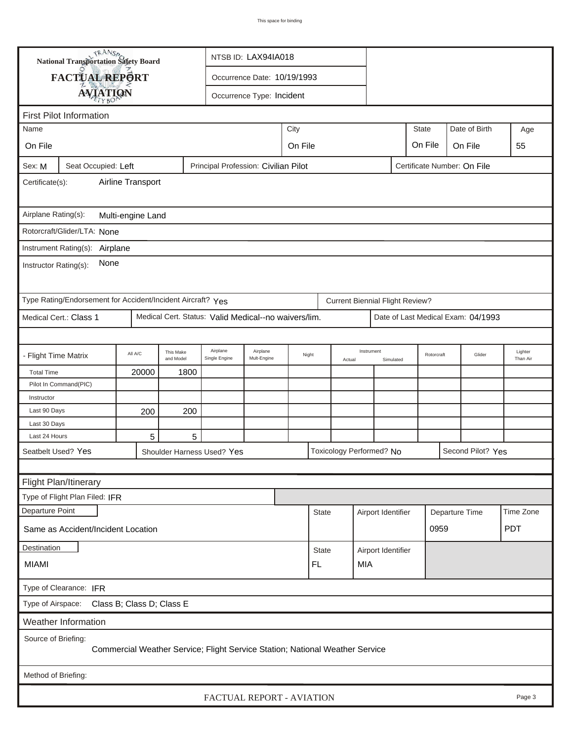| <b>National Transportation Safety Board</b>                                                          | NTSB ID: LAX94IA018                                                          |                        |                            |                                                          |         |  |              |                                        |                    |              |                |                                    |                     |
|------------------------------------------------------------------------------------------------------|------------------------------------------------------------------------------|------------------------|----------------------------|----------------------------------------------------------|---------|--|--------------|----------------------------------------|--------------------|--------------|----------------|------------------------------------|---------------------|
| FACTUAL REPORT                                                                                       |                                                                              |                        |                            | Occurrence Date: 10/19/1993                              |         |  |              |                                        |                    |              |                |                                    |                     |
|                                                                                                      |                                                                              |                        |                            | Occurrence Type: Incident                                |         |  |              |                                        |                    |              |                |                                    |                     |
| <b>AVIATION</b>                                                                                      |                                                                              |                        |                            |                                                          |         |  |              |                                        |                    |              |                |                                    |                     |
| <b>First Pilot Information</b>                                                                       |                                                                              |                        |                            |                                                          |         |  |              |                                        |                    |              |                |                                    |                     |
| City<br>Name                                                                                         |                                                                              |                        |                            |                                                          |         |  |              |                                        |                    | <b>State</b> |                | Date of Birth                      | Age                 |
| On File                                                                                              |                                                                              |                        |                            |                                                          | On File |  |              |                                        |                    | On File      |                | On File                            | 55                  |
| Principal Profession: Civilian Pilot<br>Seat Occupied: Left<br>Certificate Number: On File<br>Sex: M |                                                                              |                        |                            |                                                          |         |  |              |                                        |                    |              |                |                                    |                     |
| Airline Transport<br>Certificate(s):                                                                 |                                                                              |                        |                            |                                                          |         |  |              |                                        |                    |              |                |                                    |                     |
| Airplane Rating(s):<br>Multi-engine Land                                                             |                                                                              |                        |                            |                                                          |         |  |              |                                        |                    |              |                |                                    |                     |
| Rotorcraft/Glider/LTA: None                                                                          |                                                                              |                        |                            |                                                          |         |  |              |                                        |                    |              |                |                                    |                     |
| Instrument Rating(s): Airplane                                                                       |                                                                              |                        |                            |                                                          |         |  |              |                                        |                    |              |                |                                    |                     |
| None<br>Instructor Rating(s):                                                                        |                                                                              |                        |                            |                                                          |         |  |              |                                        |                    |              |                |                                    |                     |
| Type Rating/Endorsement for Accident/Incident Aircraft? Yes                                          |                                                                              |                        |                            |                                                          |         |  |              | <b>Current Biennial Flight Review?</b> |                    |              |                |                                    |                     |
| Medical Cert.: Class 1<br>Medical Cert. Status: Valid Medical--no waivers/lim.                       |                                                                              |                        |                            |                                                          |         |  |              |                                        |                    |              |                | Date of Last Medical Exam: 04/1993 |                     |
|                                                                                                      |                                                                              |                        |                            |                                                          |         |  |              |                                        |                    |              |                |                                    |                     |
| - Flight Time Matrix                                                                                 | All A/C                                                                      | This Make<br>and Model | Airplane<br>Single Engine  | Airplane<br>Instrument<br>Night<br>Mult-Engine<br>Actual |         |  |              |                                        | Simulated          | Rotorcraft   |                | Glider                             | Lighter<br>Than Air |
| <b>Total Time</b>                                                                                    | 20000                                                                        | 1800                   |                            |                                                          |         |  |              |                                        |                    |              |                |                                    |                     |
| Pilot In Command(PIC)                                                                                |                                                                              |                        |                            |                                                          |         |  |              |                                        |                    |              |                |                                    |                     |
| Instructor                                                                                           |                                                                              |                        |                            |                                                          |         |  |              |                                        |                    |              |                |                                    |                     |
| Last 90 Days                                                                                         | 200                                                                          | 200                    |                            |                                                          |         |  |              |                                        |                    |              |                |                                    |                     |
| Last 30 Days                                                                                         |                                                                              |                        |                            |                                                          |         |  |              |                                        |                    |              |                |                                    |                     |
| Last 24 Hours                                                                                        | 5                                                                            | 5                      |                            |                                                          |         |  |              |                                        |                    |              |                |                                    |                     |
| Seatbelt Used? Yes                                                                                   |                                                                              |                        | Shoulder Harness Used? Yes |                                                          |         |  |              | Toxicology Performed? No               |                    |              |                | Second Pilot? Yes                  |                     |
|                                                                                                      |                                                                              |                        |                            |                                                          |         |  |              |                                        |                    |              |                |                                    |                     |
| Flight Plan/Itinerary                                                                                |                                                                              |                        |                            |                                                          |         |  |              |                                        |                    |              |                |                                    |                     |
| Type of Flight Plan Filed: IFR                                                                       |                                                                              |                        |                            |                                                          |         |  |              |                                        |                    |              |                |                                    |                     |
| Departure Point                                                                                      |                                                                              |                        |                            |                                                          |         |  | <b>State</b> |                                        | Airport Identifier |              | Departure Time |                                    | Time Zone           |
| 0959<br><b>PDT</b><br>Same as Accident/Incident Location                                             |                                                                              |                        |                            |                                                          |         |  |              |                                        |                    |              |                |                                    |                     |
| Destination                                                                                          |                                                                              | <b>State</b>           |                            | Airport Identifier                                       |         |  |              |                                        |                    |              |                |                                    |                     |
| <b>MIAMI</b><br>FL.<br>MIA                                                                           |                                                                              |                        |                            |                                                          |         |  |              |                                        |                    |              |                |                                    |                     |
| Type of Clearance: IFR                                                                               |                                                                              |                        |                            |                                                          |         |  |              |                                        |                    |              |                |                                    |                     |
| Type of Airspace: Class B; Class D; Class E                                                          |                                                                              |                        |                            |                                                          |         |  |              |                                        |                    |              |                |                                    |                     |
| Weather Information                                                                                  |                                                                              |                        |                            |                                                          |         |  |              |                                        |                    |              |                |                                    |                     |
| Source of Briefing:                                                                                  | Commercial Weather Service; Flight Service Station; National Weather Service |                        |                            |                                                          |         |  |              |                                        |                    |              |                |                                    |                     |
| Method of Briefing:                                                                                  |                                                                              |                        |                            |                                                          |         |  |              |                                        |                    |              |                |                                    |                     |
| FACTUAL REPORT - AVIATION<br>Page 3                                                                  |                                                                              |                        |                            |                                                          |         |  |              |                                        |                    |              |                |                                    |                     |

ı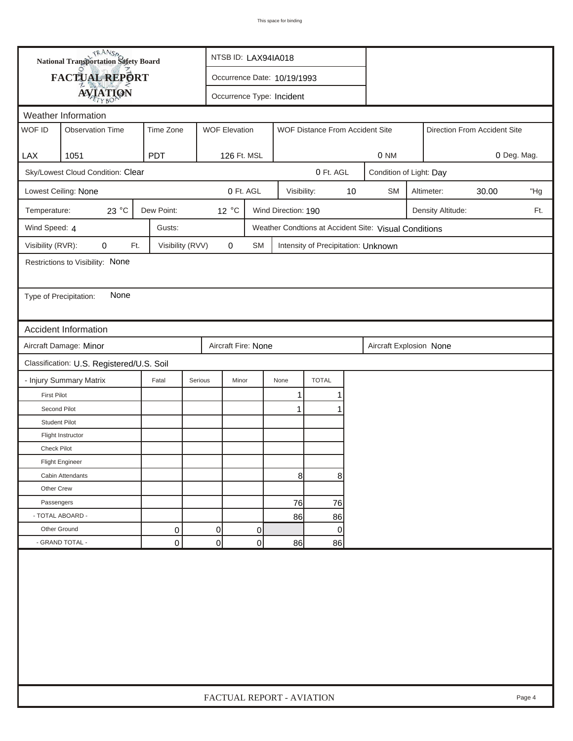| FACTUAL REPORT<br>Occurrence Date: 10/19/1993<br><b>AVIATION</b><br>Occurrence Type: Incident<br>Weather Information<br>WOF ID<br><b>WOF Elevation</b><br><b>Observation Time</b><br>Time Zone<br>WOF Distance From Accident Site<br>Direction From Accident Site<br><b>LAX</b><br>1051<br><b>PDT</b><br>126 Ft. MSL<br>0 NM<br>0 Deg. Mag.<br>Sky/Lowest Cloud Condition: Clear<br>0 Ft. AGL<br>Condition of Light: Day<br>0 Ft. AGL<br>$10$<br>Lowest Ceiling: None<br>Visibility:<br><b>SM</b><br>Altimeter:<br>30.00<br>"Hg<br>23 °C<br>Dew Point:<br>12 °C<br>Wind Direction: 190<br>Temperature:<br>Density Altitude:<br>Ft.<br>Wind Speed: 4<br>Gusts:<br>Weather Condtions at Accident Site: Visual Conditions<br>Visibility (RVR):<br>0<br>Visibility (RVV)<br>$\pmb{0}$<br>Ft.<br>SM<br>Intensity of Precipitation: Unknown<br>Restrictions to Visibility: None<br>None<br>Type of Precipitation:<br><b>Accident Information</b><br>Aircraft Damage: Minor<br>Aircraft Fire: None<br>Aircraft Explosion None<br>Classification: U.S. Registered/U.S. Soil<br><b>TOTAL</b><br>- Injury Summary Matrix<br>Fatal<br>Serious<br>Minor<br>None<br><b>First Pilot</b><br>1<br>1<br>Second Pilot<br>1<br><b>Student Pilot</b><br>Flight Instructor<br><b>Check Pilot</b><br><b>Flight Engineer</b><br>8<br>8<br>Cabin Attendants<br>Other Crew<br>Passengers<br>76<br>76<br>- TOTAL ABOARD -<br>86<br>86<br>Other Ground<br>0<br>0<br>0<br>0<br>- GRAND TOTAL -<br>$\overline{0}$<br>0<br>0<br>86<br>86 | <b>National Transportation Safety Board</b> |  |  |  | NTSB ID: LAX94IA018       |  |  |  |  |  |  |  |        |
|------------------------------------------------------------------------------------------------------------------------------------------------------------------------------------------------------------------------------------------------------------------------------------------------------------------------------------------------------------------------------------------------------------------------------------------------------------------------------------------------------------------------------------------------------------------------------------------------------------------------------------------------------------------------------------------------------------------------------------------------------------------------------------------------------------------------------------------------------------------------------------------------------------------------------------------------------------------------------------------------------------------------------------------------------------------------------------------------------------------------------------------------------------------------------------------------------------------------------------------------------------------------------------------------------------------------------------------------------------------------------------------------------------------------------------------------------------------------------------------------------------|---------------------------------------------|--|--|--|---------------------------|--|--|--|--|--|--|--|--------|
|                                                                                                                                                                                                                                                                                                                                                                                                                                                                                                                                                                                                                                                                                                                                                                                                                                                                                                                                                                                                                                                                                                                                                                                                                                                                                                                                                                                                                                                                                                            |                                             |  |  |  |                           |  |  |  |  |  |  |  |        |
|                                                                                                                                                                                                                                                                                                                                                                                                                                                                                                                                                                                                                                                                                                                                                                                                                                                                                                                                                                                                                                                                                                                                                                                                                                                                                                                                                                                                                                                                                                            |                                             |  |  |  |                           |  |  |  |  |  |  |  |        |
|                                                                                                                                                                                                                                                                                                                                                                                                                                                                                                                                                                                                                                                                                                                                                                                                                                                                                                                                                                                                                                                                                                                                                                                                                                                                                                                                                                                                                                                                                                            |                                             |  |  |  |                           |  |  |  |  |  |  |  |        |
|                                                                                                                                                                                                                                                                                                                                                                                                                                                                                                                                                                                                                                                                                                                                                                                                                                                                                                                                                                                                                                                                                                                                                                                                                                                                                                                                                                                                                                                                                                            |                                             |  |  |  |                           |  |  |  |  |  |  |  |        |
|                                                                                                                                                                                                                                                                                                                                                                                                                                                                                                                                                                                                                                                                                                                                                                                                                                                                                                                                                                                                                                                                                                                                                                                                                                                                                                                                                                                                                                                                                                            |                                             |  |  |  |                           |  |  |  |  |  |  |  |        |
|                                                                                                                                                                                                                                                                                                                                                                                                                                                                                                                                                                                                                                                                                                                                                                                                                                                                                                                                                                                                                                                                                                                                                                                                                                                                                                                                                                                                                                                                                                            |                                             |  |  |  |                           |  |  |  |  |  |  |  |        |
|                                                                                                                                                                                                                                                                                                                                                                                                                                                                                                                                                                                                                                                                                                                                                                                                                                                                                                                                                                                                                                                                                                                                                                                                                                                                                                                                                                                                                                                                                                            |                                             |  |  |  |                           |  |  |  |  |  |  |  |        |
|                                                                                                                                                                                                                                                                                                                                                                                                                                                                                                                                                                                                                                                                                                                                                                                                                                                                                                                                                                                                                                                                                                                                                                                                                                                                                                                                                                                                                                                                                                            |                                             |  |  |  |                           |  |  |  |  |  |  |  |        |
|                                                                                                                                                                                                                                                                                                                                                                                                                                                                                                                                                                                                                                                                                                                                                                                                                                                                                                                                                                                                                                                                                                                                                                                                                                                                                                                                                                                                                                                                                                            |                                             |  |  |  |                           |  |  |  |  |  |  |  |        |
|                                                                                                                                                                                                                                                                                                                                                                                                                                                                                                                                                                                                                                                                                                                                                                                                                                                                                                                                                                                                                                                                                                                                                                                                                                                                                                                                                                                                                                                                                                            |                                             |  |  |  |                           |  |  |  |  |  |  |  |        |
|                                                                                                                                                                                                                                                                                                                                                                                                                                                                                                                                                                                                                                                                                                                                                                                                                                                                                                                                                                                                                                                                                                                                                                                                                                                                                                                                                                                                                                                                                                            |                                             |  |  |  |                           |  |  |  |  |  |  |  |        |
|                                                                                                                                                                                                                                                                                                                                                                                                                                                                                                                                                                                                                                                                                                                                                                                                                                                                                                                                                                                                                                                                                                                                                                                                                                                                                                                                                                                                                                                                                                            |                                             |  |  |  |                           |  |  |  |  |  |  |  |        |
|                                                                                                                                                                                                                                                                                                                                                                                                                                                                                                                                                                                                                                                                                                                                                                                                                                                                                                                                                                                                                                                                                                                                                                                                                                                                                                                                                                                                                                                                                                            |                                             |  |  |  |                           |  |  |  |  |  |  |  |        |
|                                                                                                                                                                                                                                                                                                                                                                                                                                                                                                                                                                                                                                                                                                                                                                                                                                                                                                                                                                                                                                                                                                                                                                                                                                                                                                                                                                                                                                                                                                            |                                             |  |  |  |                           |  |  |  |  |  |  |  |        |
|                                                                                                                                                                                                                                                                                                                                                                                                                                                                                                                                                                                                                                                                                                                                                                                                                                                                                                                                                                                                                                                                                                                                                                                                                                                                                                                                                                                                                                                                                                            |                                             |  |  |  |                           |  |  |  |  |  |  |  |        |
|                                                                                                                                                                                                                                                                                                                                                                                                                                                                                                                                                                                                                                                                                                                                                                                                                                                                                                                                                                                                                                                                                                                                                                                                                                                                                                                                                                                                                                                                                                            |                                             |  |  |  |                           |  |  |  |  |  |  |  |        |
|                                                                                                                                                                                                                                                                                                                                                                                                                                                                                                                                                                                                                                                                                                                                                                                                                                                                                                                                                                                                                                                                                                                                                                                                                                                                                                                                                                                                                                                                                                            |                                             |  |  |  |                           |  |  |  |  |  |  |  |        |
|                                                                                                                                                                                                                                                                                                                                                                                                                                                                                                                                                                                                                                                                                                                                                                                                                                                                                                                                                                                                                                                                                                                                                                                                                                                                                                                                                                                                                                                                                                            |                                             |  |  |  |                           |  |  |  |  |  |  |  |        |
|                                                                                                                                                                                                                                                                                                                                                                                                                                                                                                                                                                                                                                                                                                                                                                                                                                                                                                                                                                                                                                                                                                                                                                                                                                                                                                                                                                                                                                                                                                            |                                             |  |  |  |                           |  |  |  |  |  |  |  |        |
|                                                                                                                                                                                                                                                                                                                                                                                                                                                                                                                                                                                                                                                                                                                                                                                                                                                                                                                                                                                                                                                                                                                                                                                                                                                                                                                                                                                                                                                                                                            |                                             |  |  |  |                           |  |  |  |  |  |  |  |        |
|                                                                                                                                                                                                                                                                                                                                                                                                                                                                                                                                                                                                                                                                                                                                                                                                                                                                                                                                                                                                                                                                                                                                                                                                                                                                                                                                                                                                                                                                                                            |                                             |  |  |  |                           |  |  |  |  |  |  |  |        |
|                                                                                                                                                                                                                                                                                                                                                                                                                                                                                                                                                                                                                                                                                                                                                                                                                                                                                                                                                                                                                                                                                                                                                                                                                                                                                                                                                                                                                                                                                                            |                                             |  |  |  |                           |  |  |  |  |  |  |  |        |
|                                                                                                                                                                                                                                                                                                                                                                                                                                                                                                                                                                                                                                                                                                                                                                                                                                                                                                                                                                                                                                                                                                                                                                                                                                                                                                                                                                                                                                                                                                            |                                             |  |  |  |                           |  |  |  |  |  |  |  |        |
|                                                                                                                                                                                                                                                                                                                                                                                                                                                                                                                                                                                                                                                                                                                                                                                                                                                                                                                                                                                                                                                                                                                                                                                                                                                                                                                                                                                                                                                                                                            |                                             |  |  |  |                           |  |  |  |  |  |  |  |        |
|                                                                                                                                                                                                                                                                                                                                                                                                                                                                                                                                                                                                                                                                                                                                                                                                                                                                                                                                                                                                                                                                                                                                                                                                                                                                                                                                                                                                                                                                                                            |                                             |  |  |  |                           |  |  |  |  |  |  |  |        |
|                                                                                                                                                                                                                                                                                                                                                                                                                                                                                                                                                                                                                                                                                                                                                                                                                                                                                                                                                                                                                                                                                                                                                                                                                                                                                                                                                                                                                                                                                                            |                                             |  |  |  |                           |  |  |  |  |  |  |  |        |
|                                                                                                                                                                                                                                                                                                                                                                                                                                                                                                                                                                                                                                                                                                                                                                                                                                                                                                                                                                                                                                                                                                                                                                                                                                                                                                                                                                                                                                                                                                            |                                             |  |  |  |                           |  |  |  |  |  |  |  |        |
|                                                                                                                                                                                                                                                                                                                                                                                                                                                                                                                                                                                                                                                                                                                                                                                                                                                                                                                                                                                                                                                                                                                                                                                                                                                                                                                                                                                                                                                                                                            |                                             |  |  |  |                           |  |  |  |  |  |  |  |        |
|                                                                                                                                                                                                                                                                                                                                                                                                                                                                                                                                                                                                                                                                                                                                                                                                                                                                                                                                                                                                                                                                                                                                                                                                                                                                                                                                                                                                                                                                                                            |                                             |  |  |  |                           |  |  |  |  |  |  |  |        |
|                                                                                                                                                                                                                                                                                                                                                                                                                                                                                                                                                                                                                                                                                                                                                                                                                                                                                                                                                                                                                                                                                                                                                                                                                                                                                                                                                                                                                                                                                                            |                                             |  |  |  |                           |  |  |  |  |  |  |  |        |
|                                                                                                                                                                                                                                                                                                                                                                                                                                                                                                                                                                                                                                                                                                                                                                                                                                                                                                                                                                                                                                                                                                                                                                                                                                                                                                                                                                                                                                                                                                            |                                             |  |  |  |                           |  |  |  |  |  |  |  |        |
|                                                                                                                                                                                                                                                                                                                                                                                                                                                                                                                                                                                                                                                                                                                                                                                                                                                                                                                                                                                                                                                                                                                                                                                                                                                                                                                                                                                                                                                                                                            |                                             |  |  |  | FACTUAL REPORT - AVIATION |  |  |  |  |  |  |  | Page 4 |